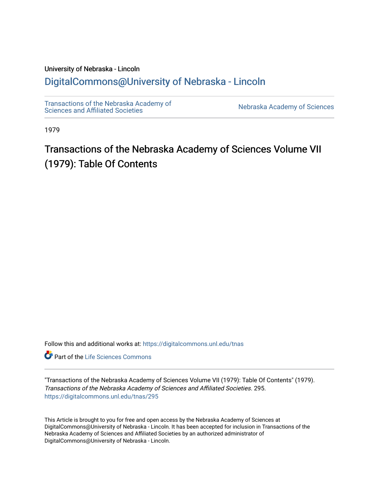# University of Nebraska - Lincoln [DigitalCommons@University of Nebraska - Lincoln](https://digitalcommons.unl.edu/)

[Transactions of the Nebraska Academy of](https://digitalcommons.unl.edu/tnas)  Transactions of the Nebraska Academy of Sciences<br>Sciences and Affiliated Societies

1979

# Transactions of the Nebraska Academy of Sciences Volume VII (1979): Table Of Contents

Follow this and additional works at: [https://digitalcommons.unl.edu/tnas](https://digitalcommons.unl.edu/tnas?utm_source=digitalcommons.unl.edu%2Ftnas%2F295&utm_medium=PDF&utm_campaign=PDFCoverPages) 

**Part of the Life Sciences Commons** 

"Transactions of the Nebraska Academy of Sciences Volume VII (1979): Table Of Contents" (1979). Transactions of the Nebraska Academy of Sciences and Affiliated Societies. 295. [https://digitalcommons.unl.edu/tnas/295](https://digitalcommons.unl.edu/tnas/295?utm_source=digitalcommons.unl.edu%2Ftnas%2F295&utm_medium=PDF&utm_campaign=PDFCoverPages) 

This Article is brought to you for free and open access by the Nebraska Academy of Sciences at DigitalCommons@University of Nebraska - Lincoln. It has been accepted for inclusion in Transactions of the Nebraska Academy of Sciences and Affiliated Societies by an authorized administrator of DigitalCommons@University of Nebraska - Lincoln.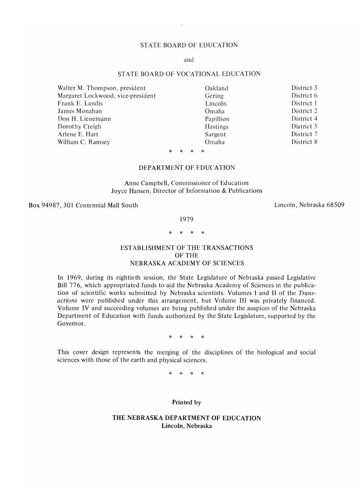#### and

#### STATE BOARD OF VOCATIONAL EDUCATION

| Oakland         | District 3 |
|-----------------|------------|
| Gering          | District 6 |
| Lincoln         | District 1 |
| Omaha           | District 2 |
| Papillion       | District 4 |
| <b>Hastings</b> | District 5 |
| Sargent         | District 7 |
| Omaha           | District 8 |
|                 |            |

\* \* \* \*

#### DEPARTMENT OF EDUCATION

Anne Campbell, Commissioner of Education Joyce Hansen, Director of Information & Publications

Box 94987,301 Centennial Mall South

Lincoln, Nebraska 68509

1979

# \* \* \* \*

### ESTABLISHMENT OF THE TRANSACTIONS OF THE NEBRASKA ACADEMY OF SCIENCES

In 1969, during its eightieth session, the State Legislature of Nebraska passed Legislative Bill 776, which appropriated funds to aid the Nebraska Academy of Sciences in the publication of scientific works submitted by Nebraska scientists. Volumes I and II of the *Transactions* were published under this arrangement, but Volume III was privately financed. Volume IV and succeeding volumes are being published under the auspices of the Nebraska Department of Education with funds authorized by the State Legislature, supported by the Governor.

\* \* \* \*

This cover design represents the merging of the disciplines of the biological and social sciences with those of the earth and physical sciences.

\* \* \* \*

Printed by

THE NEBRASKA DEPARTMENT OF EDUCATION Lincoln, Nebraska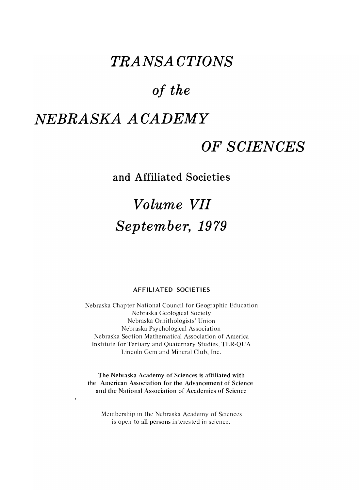# *TRANSA CTIONS*

# *of the*

# *NEBRASKA ACADEMY*

# **OF** *SCIENCES*

# **and Affiliated Societies**

# *Volume VII September, 1979*

### AFFILIATED SOCIETIES

Nebraska Chapter National Council for Geographic Education Ne braska Geological Society Nebraska Ornithologists' Union Nebraska Psychological Association Nebraska Section Mathematical Association of America Institute for Tertiary and Quaternary Studies, TER-QUA Lincoln Gem and Mineral Club, Inc.

The Nebraska Academy of Sciences is affiliated with the American Association for the Advancement of Science and the National Association of Academies of Science

Membership in the Nebraska Academy of Sciences is open to all persons interested in science.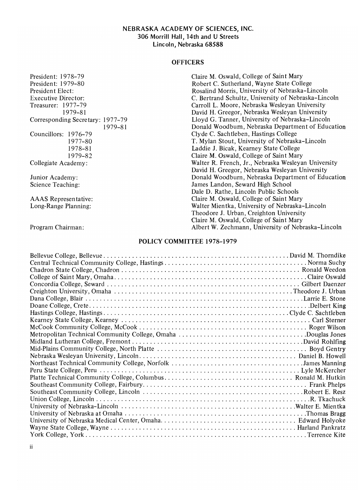# NEBRASKA ACADEMY OF SCIENCES, INC. 306 Morrill Hall, 14th and U Streets mini itali, i tuli alia o suk

# **OFFICERS**

| President: 1978–79<br>President: 1979–80<br>President Elect:<br><b>Executive Director:</b><br>Treasurer: 1977-79<br>1979-81<br>Corresponding Secretary: 1977-79 | Claire M. Oswald, College of Saint Mary<br>Robert C. Sutherland, Wayne State College<br>Rosalind Morris, University of Nebraska-Lincoln<br>C. Bertrand Schultz, University of Nebraska-Lincoln<br>Carroll L. Moore, Nebraska Wesleyan University<br>David H. Greegor, Nebraska Wesleyan University<br>Lloyd G. Tanner, University of Nebraska–Lincoln |
|-----------------------------------------------------------------------------------------------------------------------------------------------------------------|-------------------------------------------------------------------------------------------------------------------------------------------------------------------------------------------------------------------------------------------------------------------------------------------------------------------------------------------------------|
| 1979-81                                                                                                                                                         | Donald Woodburn, Nebraska Department of Education                                                                                                                                                                                                                                                                                                     |
| Councillors: 1976–79<br>1977–80<br>1978-81                                                                                                                      | Clyde C. Sachtleben, Hastings College<br>T. Mylan Stout, University of Nebraska–Lincoln<br>Laddie J. Bicak, Kearney State College                                                                                                                                                                                                                     |
| 1979-82                                                                                                                                                         | Claire M. Oswald, College of Saint Mary                                                                                                                                                                                                                                                                                                               |
| Collegiate Academy:                                                                                                                                             | Walter R. French, Jr., Nebraska Wesleyan University<br>David H. Greegor, Nebraska Wesleyan University                                                                                                                                                                                                                                                 |
| Junior Academy:                                                                                                                                                 | Donald Woodburn, Nebraska Department of Education                                                                                                                                                                                                                                                                                                     |
| Science Teaching:                                                                                                                                               | James Landon, Seward High School<br>Dale D. Rathe, Lincoln Public Schools                                                                                                                                                                                                                                                                             |
| <b>AAAS</b> Representative:                                                                                                                                     | Claire M. Oswald, College of Saint Mary                                                                                                                                                                                                                                                                                                               |
| Long-Range Planning:                                                                                                                                            | Walter Mientka, University of Nebraska-Lincoln<br>Theodore J. Urban, Creighton University<br>Claire M. Oswald, College of Saint Mary                                                                                                                                                                                                                  |
| Program Chairman:                                                                                                                                               | Albert W. Zechmann, University of Nebraska–Lincoln                                                                                                                                                                                                                                                                                                    |

# POLICY COMMITTEE 1978-1979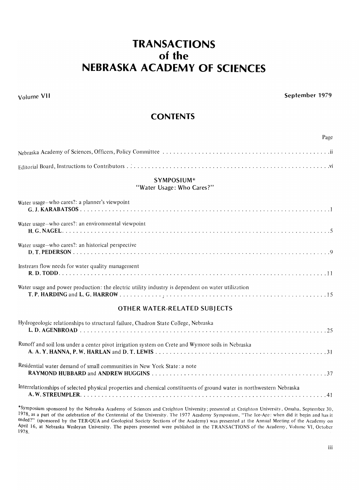# **TRANSACTIONS**  of the **NEBRASKA ACADEMY OF SCIENCES**

Volume **VII** 

### September 1979

# **CONTENTS**

| Page                                                                                                                  |
|-----------------------------------------------------------------------------------------------------------------------|
|                                                                                                                       |
|                                                                                                                       |
| SYMPOSIUM*<br>"Water Usage: Who Cares?"                                                                               |
| Water usage—who cares?: a planner's viewpoint                                                                         |
| Water usage-who cares?: an environmental viewpoint                                                                    |
| Water usage-who cares?: an historical perspective                                                                     |
| Instream flow needs for water quality management                                                                      |
| Water usage and power production: the electric utility industry is dependent on water utilization                     |
| OTHER WATER-RELATED SUBJECTS                                                                                          |
| Hydrogeologic relationships to structural failure, Chadron State College, Nebraska                                    |
| Runoff and soil loss under a center pivot irrigation system on Crete and Wymore soils in Nebraska                     |
| Residential water demand of small communities in New York State: a note                                               |
| Interrelationships of selected physical properties and chemical constituents of ground water in northwestern Nebraska |
| $*$ $\sim$ $\sim$                                                                                                     |

<sup>2</sup> hyposium sponsored by the Neoraska Academy of Sciences and Creignton University; presented at Creignton University, Omana, September 30, 1978, as a part of the celebration of the Centennial of the University. The 1977 Academy Symposium, "The Ice-Ace: when did it begin and has it ended?" (sponsored by the TER-QUA and Geological Society Sections of the Academy) was presented at the Annual Meeting of the Academy on April 16, at Nebraska Wesleyan University. The papers presented were published in the TRANSACTIONS of the Academy, Volume VI, October 1978.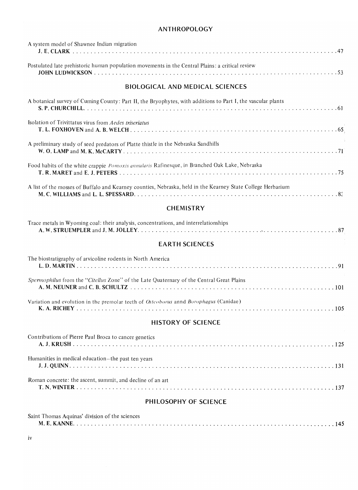## ANTHROPOLOGY

| A system model of Shawnee Indian migration                                                                  |
|-------------------------------------------------------------------------------------------------------------|
| Postulated late prehistoric human population movements in the Central Plains: a critical review             |
| <b>BIOLOGICAL AND MEDICAL SCIENCES</b>                                                                      |
| A botanical survey of Cuming County: Part II, the Bryophytes, with additions to Part I, the vascular plants |
| Isolation of Trivittatus virus from Aedes triseriatus                                                       |
| A preliminary study of seed predators of Platte thistle in the Nebraska Sandhills                           |
| Food habits of the white crappie <i>Pomoxis annularis</i> Rafinesque, in Branched Oak Lake, Nebraska        |
| A list of the mosses of Buffalo and Kearney counties, Nebraska, held in the Kearney State College Herbarium |
| <b>CHEMISTRY</b>                                                                                            |
| Trace metals in Wyoming coal: their analysis, concentrations, and interrelationships                        |
| <b>EARTH SCIENCES</b>                                                                                       |
| The biostratigraphy of arvicoline rodents in North America                                                  |
| Spermophilus from the "Citellus Zone" of the Late Quaternary of the Central Great Plains                    |
| Variation and evolution in the premolar teeth of Osteoborus annd Borophagus (Canidae)                       |
| <b>HISTORY OF SCIENCE</b>                                                                                   |
| Contributions of Pierre Paul Broca to cancer genetics                                                       |
| Humanities in medical education-the past ten years                                                          |
| Roman concrete: the ascent, summit, and decline of an art                                                   |
| PHILOSOPHY OF SCIENCE                                                                                       |
| Saint Thomas Aquinas' division of the sciences                                                              |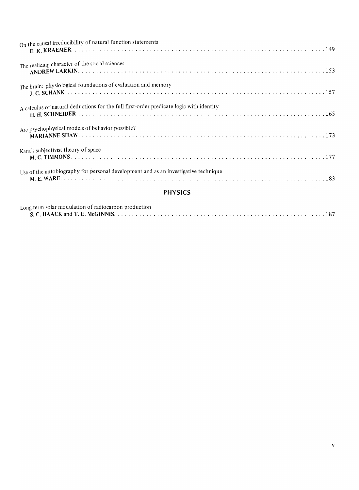| On the causal irreducibility of natural function statements                             |
|-----------------------------------------------------------------------------------------|
| The realizing character of the social sciences                                          |
| The brain: physiological foundations of evaluation and memory                           |
| A calculus of natural deductions for the full first-order predicate logic with identity |
| Are psychophysical models of behavior possible?                                         |
| Kant's subjectivist theory of space                                                     |
| Use of the autobiography for personal development and as an investigative technique     |
| <b>PHYSICS</b>                                                                          |

| Long-term solar modulation of radiocarbon production |
|------------------------------------------------------|
|                                                      |

 $\mathbf{v}$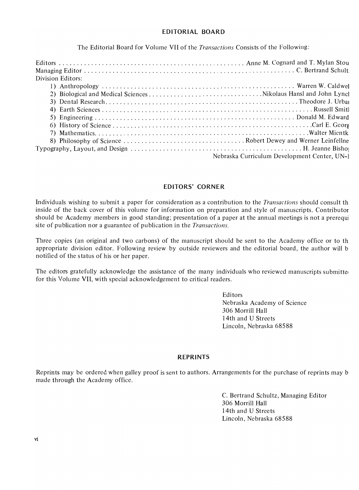### EDITORIAL BOARD

The Editorial Board for Volume VII of the *Transactions* Consists of the Following:

| Division Editors:                           |
|---------------------------------------------|
|                                             |
|                                             |
|                                             |
|                                             |
|                                             |
|                                             |
|                                             |
|                                             |
|                                             |
| Nebraska Curriculum Development Center, UN- |

# EDITORS' CORNER

Individuals wishing to submit a paper for consideration as a contribution to the *Transactions* should consult the inside of the back cover of this volume for information on preparation and style of manuscripts. Contributor should be Academy members in good standing; presentation of a paper at the annual meetings is not a prerequi site of publication nor a guarantee of publication in the *Transactions.* 

Three copies (an original and two carbons) of the manuscript should be sent to the Academy office or to th appropriate division editor. Following review by outside reviewers and the editorial board, the author will b notified of the status of his or her paper.

The editors gratefully acknowledge the assistance of the many individuals who reviewed manuscripts submitted for this Volume VII, with special acknowledgement to critical readers.

> Editors Nebraska Academy of Science 306 Morrill Hall 14th and U Streets Lincoln, Nebraska 68588

## REPRINTS

Reprints may be ordered when galley proof is sent to authors. Arrangements for the purchase of reprints may b made through the Academy office.

> C. Bertrand Schultz, Managing Editor 306 Morrill Hall 14th and U Streets Lincoln, Nebraska 68588